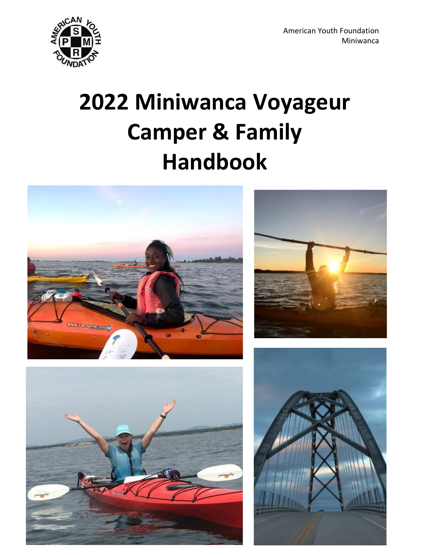

# **2022 Miniwanca Voyageur Camper & Family Handbook**







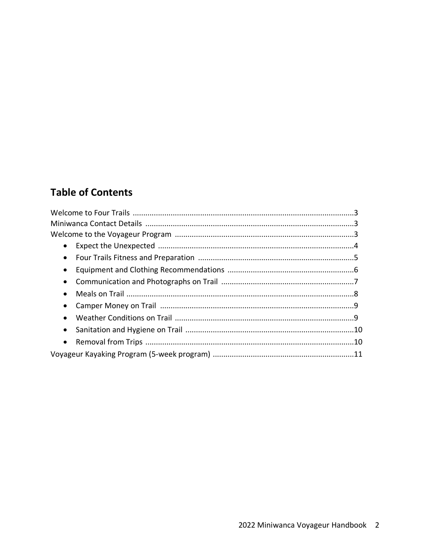# **Table of Contents**

| $\bullet$ |  |
|-----------|--|
| $\bullet$ |  |
| $\bullet$ |  |
| $\bullet$ |  |
|           |  |
|           |  |
|           |  |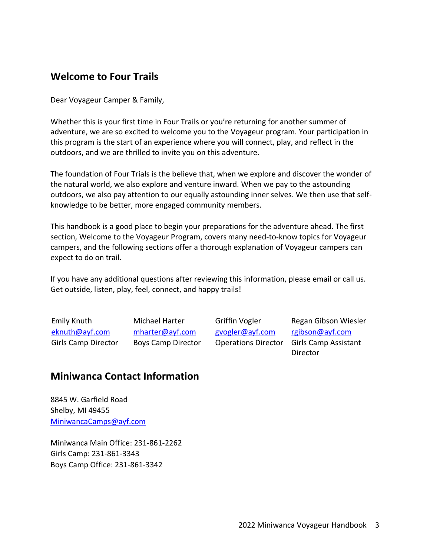## **Welcome to Four Trails**

Dear Voyageur Camper & Family,

Whether this is your first time in Four Trails or you're returning for another summer of adventure, we are so excited to welcome you to the Voyageur program. Your participation in this program is the start of an experience where you will connect, play, and reflect in the outdoors, and we are thrilled to invite you on this adventure.

The foundation of Four Trials is the believe that, when we explore and discover the wonder of the natural world, we also explore and venture inward. When we pay to the astounding outdoors, we also pay attention to our equally astounding inner selves. We then use that selfknowledge to be better, more engaged community members.

This handbook is a good place to begin your preparations for the adventure ahead. The first section, Welcome to the Voyageur Program, covers many need-to-know topics for Voyageur campers, and the following sections offer a thorough explanation of Voyageur campers can expect to do on trail.

If you have any additional questions after reviewing this information, please email or call us. Get outside, listen, play, feel, connect, and happy trails!

Emily Knuth [eknuth@ayf.com](mailto:eknuth@ayf.com) Girls Camp Director Michael Harter [mharter@ayf.com](mailto:mharter@ayf.com) Boys Camp Director Griffin Vogler [gvogler@ayf.com](mailto:gvogler@ayf.com) 

Operations Director Girls Camp Assistant Regan Gibson Wiesler [rgibson@ayf.com](mailto:rgibson@ayf.com) Director

## **Miniwanca Contact Information**

8845 W. Garfield Road Shelby, MI 49455 [MiniwancaCamps@ayf.com](mailto:MiniwancaCamps@ayf.com)

Miniwanca Main Office: 231-861-2262 Girls Camp: 231-861-3343 Boys Camp Office: 231-861-3342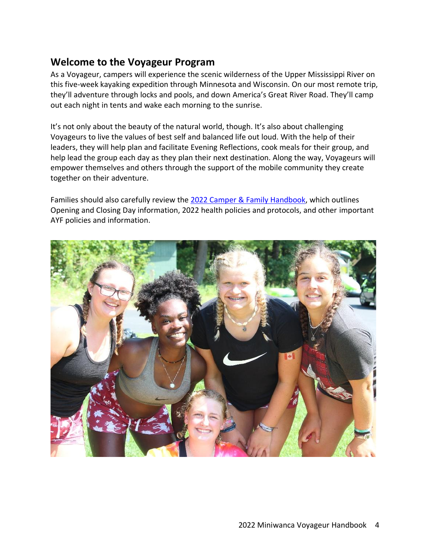## **Welcome to the Voyageur Program**

As a Voyageur, campers will experience the scenic wilderness of the Upper Mississippi River on this five-week kayaking expedition through Minnesota and Wisconsin. On our most remote trip, they'll adventure through locks and pools, and down America's Great River Road. They'll camp out each night in tents and wake each morning to the sunrise.

It's not only about the beauty of the natural world, though. It's also about challenging Voyageurs to live the values of best self and balanced life out loud. With the help of their leaders, they will help plan and facilitate Evening Reflections, cook meals for their group, and help lead the group each day as they plan their next destination. Along the way, Voyageurs will empower themselves and others through the support of the mobile community they create together on their adventure.

Families should also carefully review the [2022 Camper & Family Handbook,](https://ayf.com/wp-content/uploads/2022/03/2022-Miniwanca-Handbook.pdf) which outlines Opening and Closing Day information, 2022 health policies and protocols, and other important AYF policies and information.

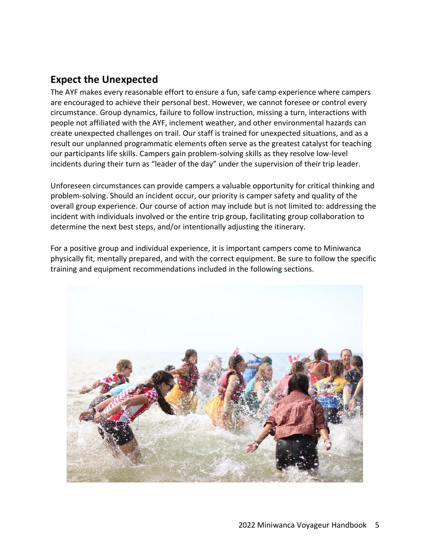## **Expect the Unexpected**

The AYF makes every reasonable effort to ensure a fun, safe camp experience where campers are encouraged to achieve their personal best. However, we cannot foresee or control every circumstance. Group dynamics, failure to follow instruction, missing a turn, interactions with people not affiliated with the AYF, inclement weather, and other environmental hazards can create unexpected challenges on trail. Our staff is trained for unexpected situations, and as a result our unplanned programmatic elements often serve as the greatest catalyst for teaching our participants life skills. Campers gain problem-solving skills as they resolve low-level incidents during their turn as "leader of the day" under the supervision of their trip leader.

Unforeseen circumstances can provide campers a valuable opportunity for critical thinking and problem-solving. Should an incident occur, our priority is camper safety and quality of the overall group experience. Our course of action may include but is not limited to: addressing the incident with individuals involved or the entire trip group, facilitating group collaboration to determine the next best steps, and/or intentionally adjusting the itinerary.

For a positive group and individual experience, it is important campers come to Miniwanca physically fit, mentally prepared, and with the correct equipment. Be sure to follow the specific training and equipment recommendations included in the following sections.

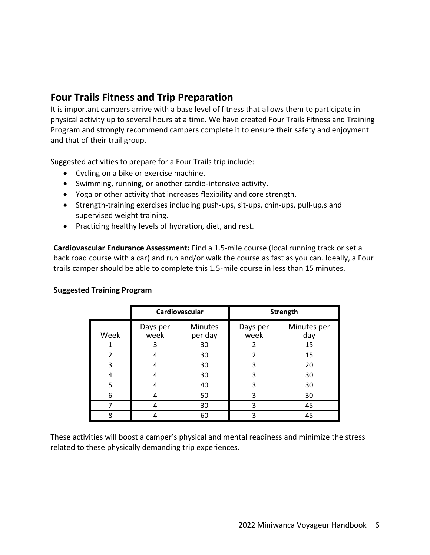# **Four Trails Fitness and Trip Preparation**

It is important campers arrive with a base level of fitness that allows them to participate in physical activity up to several hours at a time. We have created Four Trails Fitness and Training Program and strongly recommend campers complete it to ensure their safety and enjoyment and that of their trail group.

Suggested activities to prepare for a Four Trails trip include:

- Cycling on a bike or exercise machine.
- Swimming, running, or another cardio-intensive activity.
- Yoga or other activity that increases flexibility and core strength.
- Strength-training exercises including push-ups, sit-ups, chin-ups, pull-up,s and supervised weight training.
- Practicing healthy levels of hydration, diet, and rest.

**Cardiovascular Endurance Assessment:** Find a 1.5-mile course (local running track or set a back road course with a car) and run and/or walk the course as fast as you can. Ideally, a Four trails camper should be able to complete this 1.5-mile course in less than 15 minutes.

|                | Cardiovascular   |                           | <b>Strength</b>  |                    |
|----------------|------------------|---------------------------|------------------|--------------------|
| Week           | Days per<br>week | <b>Minutes</b><br>per day | Days per<br>week | Minutes per<br>day |
|                | 3                | 30                        |                  | 15                 |
| $\overline{2}$ |                  | 30                        | 2                | 15                 |
| 3              |                  | 30                        | 3                | 20                 |
| 4              |                  | 30                        | 3                | 30                 |
| 5              |                  | 40                        | 3                | 30                 |
| 6              |                  | 50                        | 3                | 30                 |
|                |                  | 30                        | 3                | 45                 |
| 8              |                  | 60                        | ς                | 45                 |

#### **Suggested Training Program**

These activities will boost a camper's physical and mental readiness and minimize the stress related to these physically demanding trip experiences.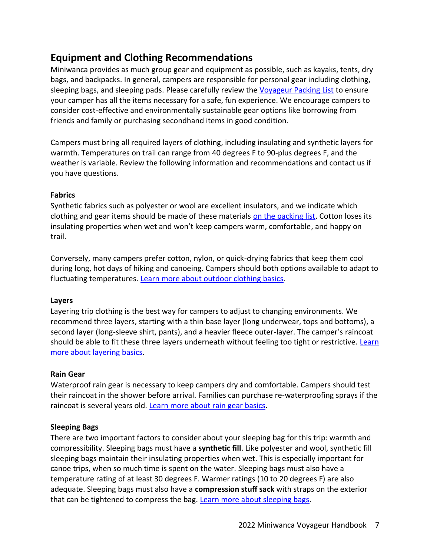# **Equipment and Clothing Recommendations**

Miniwanca provides as much group gear and equipment as possible, such as kayaks, tents, dry bags, and backpacks. In general, campers are responsible for personal gear including clothing, sleeping bags, and sleeping pads. Please carefully review the Voyageur [Packing List](https://ayf.com/wp-content/uploads/2022/03/MW-VOY-Packing-List-2022.pdf) to ensure your camper has all the items necessary for a safe, fun experience. We encourage campers to consider cost-effective and environmentally sustainable gear options like borrowing from friends and family or purchasing secondhand items in good condition.

Campers must bring all required layers of clothing, including insulating and synthetic layers for warmth. Temperatures on trail can range from 40 degrees F to 90-plus degrees F, and the weather is variable. Review the following information and recommendations and contact us if you have questions.

## **Fabrics**

Synthetic fabrics such as polyester or wool are excellent insulators, and we indicate which clothing and gear items should be made of these materials [on the packing list.](https://ayf.com/wp-content/uploads/2022/03/MW-VOY-Packing-List-2022.pdf) Cotton loses its insulating properties when wet and won't keep campers warm, comfortable, and happy on trail.

Conversely, many campers prefer cotton, nylon, or quick-drying fabrics that keep them cool during long, hot days of hiking and canoeing. Campers should both options available to adapt to fluctuating temperatures. Learn more about outdoor clothing basics.

## **Layers**

Layering trip clothing is the best way for campers to adjust to changing environments. We recommend three layers, starting with a thin base layer (long underwear, tops and bottoms), a second layer (long-sleeve shirt, pants), and a heavier fleece outer-layer. The camper's raincoat should be able to fit these three layers underneath without feeling too tight or restrictive. Learn [more about layering basics.](https://www.rei.com/learn/expert-advice/layering-basics.html)

## **Rain Gear**

Waterproof rain gear is necessary to keep campers dry and comfortable. Campers should test their raincoat in the shower before arrival. Families can purchase re-waterproofing sprays if the raincoat is several years old. [Learn more about rain gear basics.](https://www.rei.com/learn/expert-advice/rainwear.html)

## **Sleeping Bags**

There are two important factors to consider about your sleeping bag for this trip: warmth and compressibility. Sleeping bags must have a **synthetic fill**. Like polyester and wool, synthetic fill sleeping bags maintain their insulating properties when wet. This is especially important for canoe trips, when so much time is spent on the water. Sleeping bags must also have a temperature rating of at least 30 degrees F. Warmer ratings (10 to 20 degrees F) are also adequate. Sleeping bags must also have a **compression stuff sack** with straps on the exterior that can be tightened to compress the bag. [Learn more about sleeping bags.](https://www.rei.com/learn/expert-advice/sleeping-bag.html)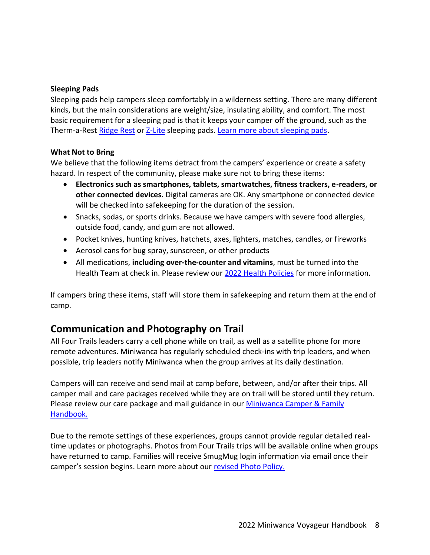## **Sleeping Pads**

Sleeping pads help campers sleep comfortably in a wilderness setting. There are many different kinds, but the main considerations are weight/size, insulating ability, and comfort. The most basic requirement for a sleeping pad is that it keeps your camper off the ground, such as the Therm-a-Rest [Ridge Rest](https://www.thermarest.com/sleeping-pads/trek-and-travel/ridgerest-classic-sleeping-pad/ridgerest-classic.html) or [Z-Lite](https://www.thermarest.com/sleeping-pads/fast-and-light/z-lite-sol-sleeping-pad/z-lite-sol.html) sleeping pads. [Learn more about sleeping pads.](https://www.rei.com/learn/expert-advice/sleeping-pads.html)

#### **What Not to Bring**

We believe that the following items detract from the campers' experience or create a safety hazard. In respect of the community, please make sure not to bring these items:

- **Electronics such as smartphones, tablets, smartwatches, fitness trackers, e-readers, or other connected devices.** Digital cameras are OK. Any smartphone or connected device will be checked into safekeeping for the duration of the session.
- Snacks, sodas, or sports drinks. Because we have campers with severe food allergies, outside food, candy, and gum are not allowed.
- Pocket knives, hunting knives, hatchets, axes, lighters, matches, candles, or fireworks
- Aerosol cans for bug spray, sunscreen, or other products
- All medications, **including over-the-counter and vitamins**, must be turned into the Health Team at check in. Please review our [2022 Health Policies](https://ayf.com/wp-content/uploads/2022/02/MW-2022-Health-Updates.pdf) for more information.

If campers bring these items, staff will store them in safekeeping and return them at the end of camp.

## **Communication and Photography on Trail**

All Four Trails leaders carry a cell phone while on trail, as well as a satellite phone for more remote adventures. Miniwanca has regularly scheduled check-ins with trip leaders, and when possible, trip leaders notify Miniwanca when the group arrives at its daily destination.

Campers will can receive and send mail at camp before, between, and/or after their trips. All camper mail and care packages received while they are on trail will be stored until they return. Please review our care package and mail guidance in our **Miniwanca Camper & Family** [Handbook.](https://ayf.com/wp-content/uploads/2022/03/2022-Miniwanca-Handbook.pdf)

Due to the remote settings of these experiences, groups cannot provide regular detailed realtime updates or photographs. Photos from Four Trails trips will be available online when groups have returned to camp. Families will receive SmugMug login information via email once their camper's session begins. Learn more about our [revised Photo Policy.](https://ayf.com/ayf-onsite-photo-policy/)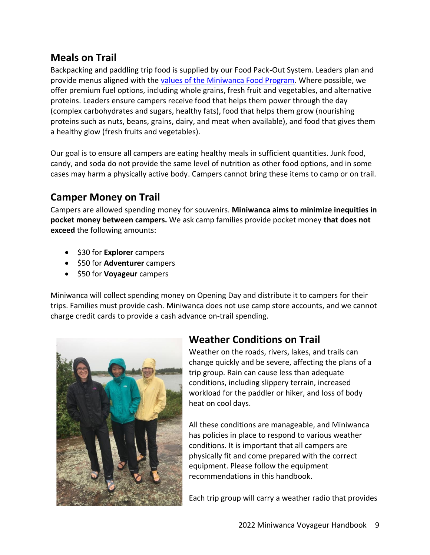# **Meals on Trail**

Backpacking and paddling trip food is supplied by our Food Pack-Out System. Leaders plan and provide menus aligned with the [values of the Miniwanca Food Program.](https://ayf.com/who-we-are/mission-philosophy/#:~:text=SUSTAINABILITY%20GUIDING%20PRINCIPLES-,FOOD%20PROGRAM%20GUIDING%20PRINCIPLES,-We%20strive%20to) Where possible, we offer premium fuel options, including whole grains, fresh fruit and vegetables, and alternative proteins. Leaders ensure campers receive food that helps them power through the day (complex carbohydrates and sugars, healthy fats), food that helps them grow (nourishing proteins such as nuts, beans, grains, dairy, and meat when available), and food that gives them a healthy glow (fresh fruits and vegetables).

Our goal is to ensure all campers are eating healthy meals in sufficient quantities. Junk food, candy, and soda do not provide the same level of nutrition as other food options, and in some cases may harm a physically active body. Campers cannot bring these items to camp or on trail.

# **Camper Money on Trail**

Campers are allowed spending money for souvenirs. **Miniwanca aims to minimize inequities in pocket money between campers.** We ask camp families provide pocket money **that does not exceed** the following amounts:

- \$30 for **Explorer** campers
- \$50 for **Adventurer** campers
- \$50 for **Voyageur** campers

Miniwanca will collect spending money on Opening Day and distribute it to campers for their trips. Families must provide cash. Miniwanca does not use camp store accounts, and we cannot charge credit cards to provide a cash advance on-trail spending.



# **Weather Conditions on Trail**

Weather on the roads, rivers, lakes, and trails can change quickly and be severe, affecting the plans of a trip group. Rain can cause less than adequate conditions, including slippery terrain, increased workload for the paddler or hiker, and loss of body heat on cool days.

All these conditions are manageable, and Miniwanca has policies in place to respond to various weather conditions. It is important that all campers are physically fit and come prepared with the correct equipment. Please follow the equipment recommendations in this handbook.

Each trip group will carry a weather radio that provides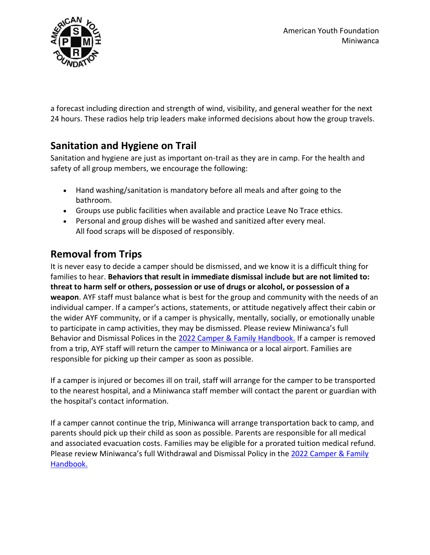

a forecast including direction and strength of wind, visibility, and general weather for the next 24 hours. These radios help trip leaders make informed decisions about how the group travels.

# **Sanitation and Hygiene on Trail**

Sanitation and hygiene are just as important on-trail as they are in camp. For the health and safety of all group members, we encourage the following:

- Hand washing/sanitation is mandatory before all meals and after going to the bathroom.
- Groups use public facilities when available and practice Leave No Trace ethics.
- Personal and group dishes will be washed and sanitized after every meal. All food scraps will be disposed of responsibly.

# **Removal from Trips**

It is never easy to decide a camper should be dismissed, and we know it is a difficult thing for families to hear. **Behaviors that result in immediate dismissal include but are not limited to: threat to harm self or others, possession or use of drugs or alcohol, or possession of a weapon**. AYF staff must balance what is best for the group and community with the needs of an individual camper. If a camper's actions, statements, or attitude negatively affect their cabin or the wider AYF community, or if a camper is physically, mentally, socially, or emotionally unable to participate in camp activities, they may be dismissed. Please review Miniwanca's full Behavior and Dismissal Polices in the [2022 Camper & Family Handbook.](https://ayf.com/wp-content/uploads/2022/03/2022-Miniwanca-Handbook.pdf) If a camper is removed from a trip, AYF staff will return the camper to Miniwanca or a local airport. Families are responsible for picking up their camper as soon as possible.

If a camper is injured or becomes ill on trail, staff will arrange for the camper to be transported to the nearest hospital, and a Miniwanca staff member will contact the parent or guardian with the hospital's contact information.

If a camper cannot continue the trip, Miniwanca will arrange transportation back to camp, and parents should pick up their child as soon as possible. Parents are responsible for all medical and associated evacuation costs. Families may be eligible for a prorated tuition medical refund. Please review Miniwanca's full Withdrawal and Dismissal Policy in the [2022 Camper & Family](https://ayf.com/wp-content/uploads/2022/03/2022-Miniwanca-Handbook.pdf)  [Handbook.](https://ayf.com/wp-content/uploads/2022/03/2022-Miniwanca-Handbook.pdf)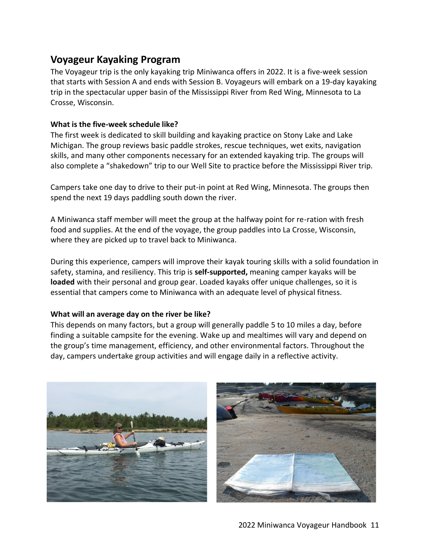## **Voyageur Kayaking Program**

The Voyageur trip is the only kayaking trip Miniwanca offers in 2022. It is a five-week session that starts with Session A and ends with Session B. Voyageurs will embark on a 19-day kayaking trip in the spectacular upper basin of the Mississippi River from Red Wing, Minnesota to La Crosse, Wisconsin.

## **What is the five-week schedule like?**

The first week is dedicated to skill building and kayaking practice on Stony Lake and Lake Michigan. The group reviews basic paddle strokes, rescue techniques, wet exits, navigation skills, and many other components necessary for an extended kayaking trip. The groups will also complete a "shakedown" trip to our Well Site to practice before the Mississippi River trip.

Campers take one day to drive to their put-in point at Red Wing, Minnesota. The groups then spend the next 19 days paddling south down the river.

A Miniwanca staff member will meet the group at the halfway point for re-ration with fresh food and supplies. At the end of the voyage, the group paddles into La Crosse, Wisconsin, where they are picked up to travel back to Miniwanca.

During this experience, campers will improve their kayak touring skills with a solid foundation in safety, stamina, and resiliency. This trip is **self-supported,** meaning camper kayaks will be **loaded** with their personal and group gear. Loaded kayaks offer unique challenges, so it is essential that campers come to Miniwanca with an adequate level of physical fitness.

## **What will an average day on the river be like?**

This depends on many factors, but a group will generally paddle 5 to 10 miles a day, before finding a suitable campsite for the evening. Wake up and mealtimes will vary and depend on the group's time management, efficiency, and other environmental factors. Throughout the day, campers undertake group activities and will engage daily in a reflective activity.



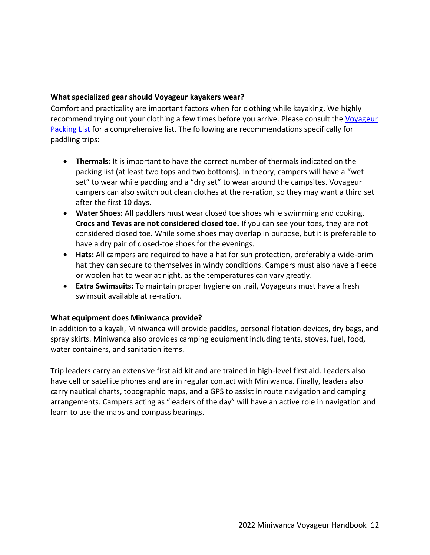## **What specialized gear should Voyageur kayakers wear?**

Comfort and practicality are important factors when for clothing while kayaking. We highly recommend trying out your clothing a few times before you arrive. Please consult the Voyageur [Packing List](https://ayf.com/wp-content/uploads/2022/03/MW-VOY-Packing-List-2022.pdf) for a comprehensive list. The following are recommendations specifically for paddling trips:

- **Thermals:** It is important to have the correct number of thermals indicated on the packing list (at least two tops and two bottoms). In theory, campers will have a "wet set" to wear while padding and a "dry set" to wear around the campsites. Voyageur campers can also switch out clean clothes at the re‐ration, so they may want a third set after the first 10 days.
- **Water Shoes:** All paddlers must wear closed toe shoes while swimming and cooking. **Crocs and Tevas are not considered closed toe.** If you can see your toes, they are not considered closed toe. While some shoes may overlap in purpose, but it is preferable to have a dry pair of closed-toe shoes for the evenings.
- **Hats:** All campers are required to have a hat for sun protection, preferably a wide-brim hat they can secure to themselves in windy conditions. Campers must also have a fleece or woolen hat to wear at night, as the temperatures can vary greatly.
- **Extra Swimsuits:** To maintain proper hygiene on trail, Voyageurs must have a fresh swimsuit available at re-ration.

#### **What equipment does Miniwanca provide?**

In addition to a kayak, Miniwanca will provide paddles, personal flotation devices, dry bags, and spray skirts. Miniwanca also provides camping equipment including tents, stoves, fuel, food, water containers, and sanitation items.

Trip leaders carry an extensive first aid kit and are trained in high-level first aid. Leaders also have cell or satellite phones and are in regular contact with Miniwanca. Finally, leaders also carry nautical charts, topographic maps, and a GPS to assist in route navigation and camping arrangements. Campers acting as "leaders of the day" will have an active role in navigation and learn to use the maps and compass bearings.